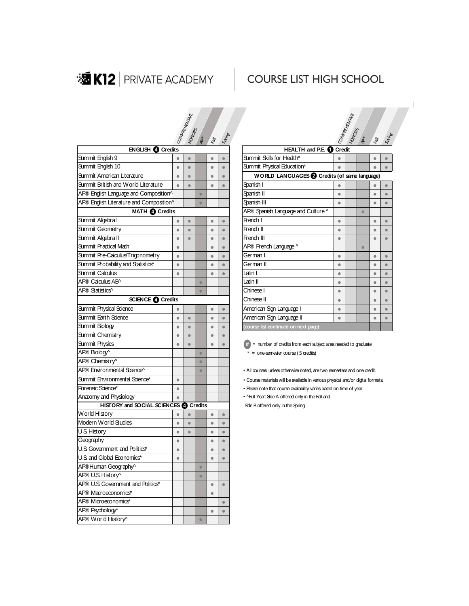# **SEXTE** PRIVATE ACADEMY COURSE LIST HIGH SCHOOL

|                                         |           | Commersements |           | Fall      | Springe   |                                                                                  |           | COMPREHENSIVE |           | kall      | Spring |
|-----------------------------------------|-----------|---------------|-----------|-----------|-----------|----------------------------------------------------------------------------------|-----------|---------------|-----------|-----------|--------|
| <b>ENGLISH @ Credits</b>                |           |               |           |           |           | HEALTH and P.E. O                                                                | Credit    |               |           |           |        |
| Summit English 9                        | $\bullet$ | $\bullet$     |           | $\bullet$ | $\bullet$ | Summit Skills for Health*                                                        |           |               |           | $\bullet$ |        |
| Summit English 10                       | $\bullet$ | $\bullet$     |           | $\bullet$ | $\bullet$ | Summit Physical Education*                                                       | $\bullet$ |               |           | $\bullet$ |        |
| Summit American Literature              | $\bullet$ | $\bullet$     |           | $\bullet$ | $\bullet$ | WORLD LANGUAGES @ Credits (of same language)                                     |           |               |           |           |        |
| Summit British and World Literature     | $\bullet$ | $\bullet$     |           | $\bullet$ | $\bullet$ | Spanish I                                                                        |           |               |           | $\bullet$ |        |
| AP® English Language and Composition^   |           |               | $\bullet$ |           |           | Sbanish II                                                                       | $\bullet$ |               |           | $\bullet$ |        |
| AP® English Literature and Composition^ |           |               | $\bullet$ |           |           | Sbanish III                                                                      | $\bullet$ |               |           | $\bullet$ |        |
| MATH @ Credits                          |           |               |           |           |           | AP® Spanish Language and Culture ^                                               |           |               | $\bullet$ |           |        |
| Summit Algebra I                        | $\bullet$ | $\bullet$     |           | $\bullet$ | $\bullet$ | French I                                                                         | $\bullet$ |               |           | $\bullet$ |        |
| Summit Geometry                         | $\bullet$ | $\bullet$     |           | $\bullet$ | $\bullet$ | French II                                                                        | $\bullet$ |               |           | $\bullet$ |        |
| Summit Algebrall                        | $\bullet$ | $\bullet$     |           | $\bullet$ | $\bullet$ | French III                                                                       | $\bullet$ |               |           | $\bullet$ |        |
| Summit Practical Math                   | $\bullet$ |               |           | $\bullet$ | $\bullet$ | AP® French Language ^                                                            |           |               | $\bullet$ |           |        |
| Summit Pre-Calculus/Trigonometry        | $\bullet$ |               |           | $\bullet$ | $\bullet$ | German I                                                                         | $\bullet$ |               |           | $\bullet$ |        |
| Summit Probability and Statistics*      | $\bullet$ |               |           | $\bullet$ | $\bullet$ | German II                                                                        | ۵         |               |           | $\bullet$ |        |
| <b>Summit Calculus</b>                  | $\bullet$ |               |           | $\bullet$ | $\bullet$ | Latin I                                                                          | $\bullet$ |               |           | $\bullet$ |        |
| AP® Calculus AB <sup>N</sup>            |           |               | $\bullet$ |           |           | Latin II                                                                         | $\bullet$ |               |           | $\bullet$ |        |
| AP® Statistics^                         |           |               | $\bullet$ |           |           | Chinese I                                                                        | $\bullet$ |               |           | $\bullet$ |        |
| <b>SCIENCE @ Credits</b>                |           |               |           |           |           | Chinese II                                                                       | $\bullet$ |               |           | $\bullet$ |        |
| Summit Physical Science                 | $\bullet$ |               |           | $\bullet$ | $\bullet$ | American Sign Language I                                                         | $\bullet$ |               |           | $\bullet$ |        |
| Summit Earth Science                    | $\bullet$ | $\bullet$     |           | $\bullet$ | $\bullet$ | American Sign Language II                                                        | $\bullet$ |               |           | $\bullet$ |        |
| Summit Biology                          | $\bullet$ | $\bullet$     |           | $\bullet$ | $\bullet$ | (course list continued on next page)                                             |           |               |           |           |        |
| Summit Chemistry                        | $\bullet$ | $\bullet$     |           | $\bullet$ | $\bullet$ |                                                                                  |           |               |           |           |        |
| Summit Physics                          | $\bullet$ | $\bullet$     |           | $\bullet$ | $\bullet$ | = number of credits from each subject area needed to graduate                    |           |               |           |           |        |
| AP® Biology^                            |           |               | $\bullet$ |           |           | $=$ one-semester course (5 credits)                                              |           |               |           |           |        |
| AP® Chemistry^                          |           |               | $\bullet$ |           |           |                                                                                  |           |               |           |           |        |
| AP® Environmental Science^              |           |               | $\bullet$ |           |           | • All courses, unless otherwise noted, are two semesters and one credit.         |           |               |           |           |        |
| Summit Environmental Science*           | $\bullet$ |               |           |           |           | • Course materials will be available in various physical and/or digital formats. |           |               |           |           |        |
| Forensic Science*                       | $\bullet$ |               |           |           |           | • Please note that course availability varies based on time of year.             |           |               |           |           |        |
| Anatomy and Physiology                  |           |               |           |           |           | . ^Full Year: Side A offered only in the Fall and                                |           |               |           |           |        |
| HISTORY and SOCIAL SCIENCES @ Credits   |           |               |           |           |           | Side B offered only in the Spring                                                |           |               |           |           |        |
| World History                           | $\bullet$ | $\bullet$     |           | $\bullet$ | $\bullet$ |                                                                                  |           |               |           |           |        |
| Modern World Studies                    | $\bullet$ | $\bullet$     |           | $\bullet$ | $\bullet$ |                                                                                  |           |               |           |           |        |
| <b>U.S History</b>                      | $\bullet$ | $\bullet$     |           | $\bullet$ | $\bullet$ |                                                                                  |           |               |           |           |        |
| Geography                               | $\bullet$ |               |           | $\bullet$ | $\bullet$ |                                                                                  |           |               |           |           |        |
| U.S Government and Politics*            | $\bullet$ |               |           | $\bullet$ | $\bullet$ |                                                                                  |           |               |           |           |        |
| U.S and Global Economics*               | $\bullet$ |               |           | $\bullet$ | $\bullet$ |                                                                                  |           |               |           |           |        |
| AP®Human Geography^                     |           |               | $\bullet$ |           |           |                                                                                  |           |               |           |           |        |
| AP® U.S. History^                       |           |               | $\bullet$ |           |           |                                                                                  |           |               |           |           |        |
| AP® U.S. Government and Politics*       |           |               |           | $\bullet$ | $\bullet$ |                                                                                  |           |               |           |           |        |
| AP® Macroeconomics*                     |           |               |           | $\bullet$ |           |                                                                                  |           |               |           |           |        |
| AP® Microeconomics*                     |           |               |           |           | $\bullet$ |                                                                                  |           |               |           |           |        |
| AP® Psychology*                         |           |               |           | $\bullet$ | $\bullet$ |                                                                                  |           |               |           |           |        |
| AP® World History^                      |           |               | $\bullet$ |           |           |                                                                                  |           |               |           |           |        |

|                                                                                                                                | <b>I</b> w.   www.perights.il<br>HONDRY | $4\rho$   | Fall      | Springe   |                                              |           | COMPREHENSIVE |           | Fall      | Spring    |
|--------------------------------------------------------------------------------------------------------------------------------|-----------------------------------------|-----------|-----------|-----------|----------------------------------------------|-----------|---------------|-----------|-----------|-----------|
|                                                                                                                                |                                         |           |           |           | HEALTH and P.E. Credit                       |           |               |           |           |           |
| $\overline{\phantom{a}}$                                                                                                       | $\bullet$                               |           | $\bullet$ | $\bullet$ | Summit Skills for Health*                    | $\bullet$ |               |           | ٠         | $\bullet$ |
| $\bullet$                                                                                                                      | $\bullet$                               |           | $\bullet$ | $\bullet$ | Summit Physical Education*                   | $\bullet$ |               |           | ٠         | $\bullet$ |
| $\overline{\phantom{a}}$                                                                                                       | $\bullet$                               |           | $\bullet$ | $\bullet$ | WORLD LANGUAGES @ Credits (of same language) |           |               |           |           |           |
| $\bullet$                                                                                                                      | $\bullet$                               |           | $\bullet$ | $\bullet$ | Spanish I                                    | $\bullet$ |               |           | $\bullet$ | $\bullet$ |
|                                                                                                                                |                                         | $\bullet$ |           |           | Spanish II                                   | $\bullet$ |               |           | ٠         | Ŏ         |
|                                                                                                                                |                                         | $\bullet$ |           |           | Spanish III                                  | $\bullet$ |               |           | ٠         | $\bullet$ |
|                                                                                                                                |                                         |           |           |           | AP® Spanish Language and Culture ^           |           |               | $\bullet$ |           |           |
| $\bullet$                                                                                                                      | $\bullet$                               |           | $\bullet$ | $\bullet$ | French I                                     | $\bullet$ |               |           | $\bullet$ | $\bullet$ |
| $\bullet$                                                                                                                      | $\bullet$                               |           | $\bullet$ | $\bullet$ | French II                                    | $\bullet$ |               |           | ٠         | Ŏ         |
|                                                                                                                                | $\bullet$                               |           | $\bullet$ | $\bullet$ | French III                                   | $\bullet$ |               |           | ٠         | ٥         |
| $\begin{array}{c c c c} \bullet & \bullet & \bullet \\ \bullet & \bullet & \bullet \\ \bullet & \bullet & \bullet \end{array}$ |                                         |           | $\bullet$ | $\bullet$ | AP® French Language ^                        |           |               | $\bullet$ |           |           |
|                                                                                                                                |                                         |           | $\bullet$ | $\bullet$ | German I                                     | $\bullet$ |               |           | $\bullet$ | $\bullet$ |
|                                                                                                                                |                                         |           | $\bullet$ | $\bullet$ | German II                                    | $\bullet$ |               |           | ٠         | $\bullet$ |
|                                                                                                                                |                                         |           | $\bullet$ | ۰         | Latin I                                      | ٠         |               |           |           | ٠         |
|                                                                                                                                |                                         | $\bullet$ |           |           | Latin II                                     | $\bullet$ |               |           |           | $\bullet$ |
|                                                                                                                                |                                         | $\bullet$ |           |           | Chinese I                                    | $\bullet$ |               |           | ٠         | Ŏ         |
| S                                                                                                                              |                                         |           |           |           | Chinese II                                   | $\bullet$ |               |           | ٠         | $\bullet$ |
| $\bullet$                                                                                                                      |                                         |           | $\bullet$ | $\bullet$ | American Sign Language I                     | $\bullet$ |               |           | ٠         | $\bullet$ |
| $\bullet$                                                                                                                      | $\bullet$                               |           | $\bullet$ | $\bullet$ | American Sign Language II                    | $\bullet$ |               |           | $\bullet$ | $\bullet$ |
| $\overline{\phantom{0}}$                                                                                                       | $\bullet$                               |           | $\bullet$ | $\bullet$ | course list continued on next page)          |           |               |           |           |           |
|                                                                                                                                |                                         |           |           |           |                                              |           |               |           |           |           |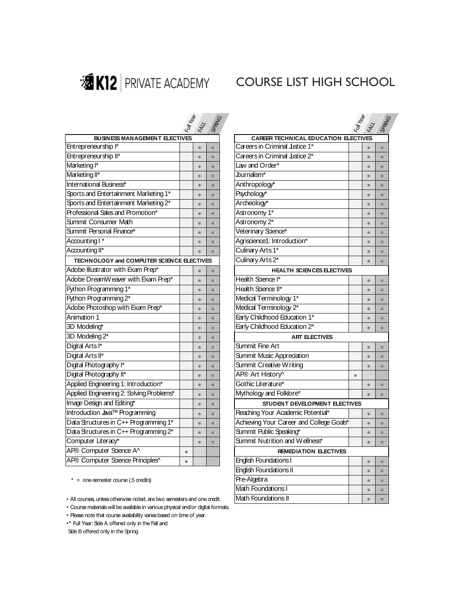

|                                           |           |                | Full Address |                                             | Full Year |                | S <sub>Pp</sub> |
|-------------------------------------------|-----------|----------------|--------------|---------------------------------------------|-----------|----------------|-----------------|
| BUSINESS MAN AGEMENT ELECTIVES            |           |                |              | <b>CAREER TECHNICAL EDUCATION ELECTIVES</b> |           |                |                 |
| Entrepreneurship I*                       |           | $\bullet$      | $\bullet$    | Careers in Criminal Justice 1*              |           |                |                 |
| Entrepreneurship II*                      |           | $\bullet$      | $\bullet$    | Careers in Criminal Justice 2*              |           | $\blacksquare$ |                 |
| Marketing I*                              |           | $\bullet$      | $\bullet$    | Law and Order*                              |           | $\bullet$      |                 |
| Marketing II*                             |           | $\bullet$      | $\bullet$    | Journalism <sup>*</sup>                     |           | $\bullet$      | $\bullet$       |
| International Business*                   |           | $\bullet$      | $\bullet$    | Anthropology*                               |           |                | $\bullet$       |
| Sports and Entertainment Marketing 1*     |           | $\bullet$      | $\bullet$    | Psychology*                                 |           |                |                 |
| Sports and Entertainment Marketing 2*     |           | $\bullet$      | $\bullet$    | Archeology*                                 |           |                |                 |
| Professional Sales and Promotion*         |           | $\bullet$      | $\bullet$    | Astronomy 1*                                |           |                |                 |
| Summit Consumer Math                      |           | $\bullet$      | $\bullet$    | Astronomy 2*                                |           | $\bullet$      | $\bullet$       |
| Summit Personal Finance*                  |           | $\bullet$      | $\bullet$    | Veterinary Science*                         |           | $\bullet$      | $\bullet$       |
| Accounting I*                             |           | $\bullet$      | $\bullet$    | Agriscience1: Introduction*                 |           |                | $\bullet$       |
| Accounting II*                            |           |                | ۰            | Culinary Arts 1*                            |           | $\bullet$      |                 |
| TECHNOLOGY and COMPUTER SCIENCE ELECTIVES |           |                |              | Culinary Arts 2*                            |           |                |                 |
| Adobe Illustrator with Exam Prep*         |           | $\bullet$      | $\bullet$    | HEALTH SCIENCES ELECTIVES                   |           |                |                 |
| Adobe DreamWeaver with Exam Prep*         |           | $\blacksquare$ | $\bullet$    | Health Science I*                           |           | $\blacksquare$ | $\bullet$       |
| Python Programming 1*                     |           | $\bullet$      | $\bullet$    | Health Science II*                          |           | $\bullet$      | $\bullet$       |
| Python Programming 2*                     |           | $\bullet$      | $\bullet$    | Medical Terminology 1*                      |           | $\bullet$      | $\bullet$       |
| Adobe Photoshop with Exam Prep*           |           | $\bullet$      | $\bullet$    | Medical Terminology 2*                      |           | $\bullet$      | $\bullet$       |
| Animation 1                               |           | $\bullet$      | $\bullet$    | Early Childhood Education 1*                |           | $\bullet$      | $\bullet$       |
| 3D Modeling*                              |           | $\blacksquare$ | $\bullet$    | Early Childhood Education 2*                |           |                |                 |
| 3D Modeling 2*                            |           | $\bullet$      | $\bullet$    | <b>ART ELECTIVES</b>                        |           |                |                 |
| Digital Arts I*                           |           | $\bullet$      | $\bullet$    | Summit Fine Art                             |           | $\bullet$      | $\bullet$       |
| Digital Arts II*                          |           | $\bullet$      | $\bullet$    | Summit Music Appreciation                   |           | $\bullet$      | $\bullet$       |
| Digital Photography I*                    |           | $\bullet$      | $\bullet$    | Summit Creative Writing                     |           | $\bullet$      |                 |
| Digital Photography II*                   |           | $\bullet$      | $\bullet$    | AP® Art History^                            | $\bullet$ |                |                 |
| Applied Engineering 1: Introduction*      |           | $\bullet$      | $\bullet$    | Gothic Literature*                          |           | $\bullet$      | $\bullet$       |
| Applied Engineering 2: Solving Problems*  |           | $\bullet$      | $\bullet$    | Mythology and Folklore*                     |           | $\bullet$      | $\bullet$       |
| Image Design and Editing*                 |           | $\bullet$      | $\bullet$    | STUDENT DEVELOPMENT ELECTIVES               |           |                |                 |
| Introduction Java™ Programming            |           | $\bullet$      | $\bullet$    | Reaching Your Academic Potential*           |           | $\bullet$      | $\bullet$       |
| Data Structures in C++ Programming 1*     |           | $\bullet$      | $\bullet$    | Achieving Your Career and College Goals*    |           | $\bullet$      |                 |
| Data Structures in C++ Programming 2*     |           | $\bullet$      | $\bullet$    | Summit Public Speaking*                     |           | $\bullet$      |                 |
| Computer Literacy*                        |           | $\bullet$      | $\bullet$    | Summit Nutrition and Wellness*              |           | $\bullet$      |                 |
| AP® Computer Science A^                   | $\bullet$ |                |              | <b>REMEDIATION ELECTIVES</b>                |           |                |                 |
| AP® Computer Science Principles^          | $\bullet$ |                |              | <b>English Foundations I</b>                |           | $\bullet$      |                 |
|                                           |           |                |              |                                             |           |                |                 |

|                                                                                 |           |                | Full Year |                                             | Full Year | <b>FALL</b> |                |
|---------------------------------------------------------------------------------|-----------|----------------|-----------|---------------------------------------------|-----------|-------------|----------------|
| BUSINESS MAN AGEMENT ELECTIVES                                                  |           |                |           | <b>CAREER TECHNICAL EDUCATION ELECTIVES</b> |           |             |                |
| Entrepreneurship I*                                                             |           | $\bullet$      | $\bullet$ | Careers in Criminal Justice 1*              |           |             | $\bullet$      |
| Entrepreneurship II*                                                            |           | $\bullet$      | $\bullet$ | Careers in Criminal Justice 2*              |           | $\bullet$   | $\bullet$      |
| Marketing I*                                                                    |           | $\bullet$      | $\bullet$ | Law and Order*                              |           | $\bullet$   | $\bullet$      |
| Marketing II*                                                                   |           | $\bullet$      | $\bullet$ | Journalism*                                 |           | $\bullet$   | $\blacksquare$ |
| International Business*                                                         |           | $\blacksquare$ | $\bullet$ | Anthropology*                               |           | $\epsilon$  | $\bullet$      |
| Sports and Entertainment Marketing 1*                                           |           | $\bullet$      | $\bullet$ | Psychology*                                 |           | $\bullet$   | $\bullet$      |
| Sports and Entertainment Marketing 2*                                           |           | $\bullet$      | $\bullet$ | Archeology*                                 |           | $\bullet$   | $\bullet$      |
| Professional Sales and Promotion*                                               |           | $\bullet$      | $\bullet$ | Astronomy 1*                                |           | $\bullet$   | $\bullet$      |
| Summit Consumer Math                                                            |           | $\bullet$      | $\bullet$ | Astronomy 2*                                |           | $\bullet$   | $\bullet$      |
| Summit Personal Finance*                                                        |           | $\bullet$      | $\bullet$ | Veterinary Science*                         |           | $\bullet$   |                |
| Accounting I*                                                                   |           | $\bullet$      | $\bullet$ | Agriscience1: Introduction*                 |           | $\bullet$   |                |
| Accounting II*                                                                  |           | $\bullet$      | $\bullet$ | Culinary Arts 1*                            |           | $\bullet$   | $\bullet$      |
| TECHNOLOGY and COMPUTER SCIENCE ELECTIVES                                       |           |                |           | Culinary Arts 2*                            |           | $\bullet$   | $\bullet$      |
| Adobe Illustrator with Exam Prep*                                               |           | $\bullet$      | $\bullet$ | <b>HEALTH SCIENCES ELECTIVES</b>            |           |             |                |
| Adobe DreamWeaver with Exam Prep*                                               |           | $\bullet$      | $\bullet$ | Health Science I*                           |           | $\bullet$   | $\bullet$      |
| Python Programming 1*                                                           |           | $\bullet$      | $\bullet$ | Health Science II*                          |           | $\bullet$   | $\bullet$      |
| Python Programming 2*                                                           |           | $\bullet$      | $\bullet$ | Medical Terminology 1*                      |           | $\bullet$   |                |
| Adobe Photoshop with Exam Prep*                                                 |           | $\bullet$      | $\bullet$ | Medical Terminology 2*                      |           | $\bullet$   | $\bullet$      |
| Animation 1                                                                     |           | $\bullet$      | $\bullet$ | Early Childhood Education 1*                |           | $\bullet$   | $\bullet$      |
| 3D Modeling*                                                                    |           | $\bullet$      | $\bullet$ | Early Childhood Education 2*                |           | $\bullet$   |                |
| 3D Modeling 2*                                                                  |           | $\bullet$      | $\bullet$ | <b>ART ELECTIVES</b>                        |           |             |                |
| Digital Arts <sup>l*</sup>                                                      |           | $\bullet$      | $\bullet$ | Summit Fine Art                             |           | $\epsilon$  |                |
| Digital Arts II*                                                                |           | $\bullet$      | $\bullet$ | Summit Music Appreciation                   |           | $\bullet$   | $\bullet$      |
| Digital Photography I*                                                          |           | $\bullet$      | $\bullet$ | <b>Summit Creative Writing</b>              |           | $\bullet$   |                |
| Digital Photography II*                                                         |           | $\bullet$      | $\bullet$ | AP® Art History^                            | $\bullet$ |             |                |
| Applied Engineering 1: Introduction*                                            |           | $\bullet$      | $\bullet$ | Gothic Literature*                          |           | $\bullet$   | $\bullet$      |
| Applied Engineering 2: Solving Problems*                                        |           | $\bullet$      | $\bullet$ | Mythology and Folklore*                     |           | $\bullet$   | $\bullet$      |
| Image Design and Editing*                                                       |           | $\bullet$      | $\bullet$ | STUDENT DEVELOPMENT ELECTIVES               |           |             |                |
| Introduction Java™ Programming                                                  |           | $\bullet$      | $\bullet$ | Reaching Your Academic Potential*           |           | $\bullet$   | $\bullet$      |
| Data Structures in C++ Programming 1*                                           |           | $\bullet$      | $\bullet$ | Achieving Your Career and College Goals*    |           | $\bullet$   | $\bullet$      |
| Data Structures in C++ Programming 2*                                           |           | $\bullet$      | $\bullet$ | Summit Public Speaking*                     |           | $\bullet$   | $\bullet$      |
| Computer Literacy*                                                              |           | $\bullet$      | $\bullet$ | Summit Nutrition and Wellness*              |           | $\bullet$   | $\blacksquare$ |
| AP® Computer Science A^                                                         | $\bullet$ |                |           | <b>REMEDIATION ELECTIVES</b>                |           |             |                |
| AP® Computer Science Principles^                                                | $\bullet$ |                |           | <b>English Foundations I</b>                |           | $\bullet$   | $\bullet$      |
|                                                                                 |           |                |           | <b>English Foundations II</b>               |           | $\bullet$   | $\bullet$      |
| $* =$ one-semester course (.5 credits)                                          |           |                |           | <b>Pre-Algebra</b>                          |           | $\bullet$   |                |
|                                                                                 |           |                |           | <b>Math Foundations I</b>                   |           | $\bullet$   | $\bullet$      |
| $\bullet$ All courses unless otherwise noted, are two semesters and one credit. |           |                |           | <b>Math Foundations II</b>                  |           | $\bullet$   | $\bullet$      |

• All courses, unless otherwise noted, are two semesters and one credit.

• Course materials will be available in various physical and/or digital formats.

• Please note that course availability varies based on time of year.

•^ Full Year: Side A offered only in the Fall and

Side B offered only in the Spring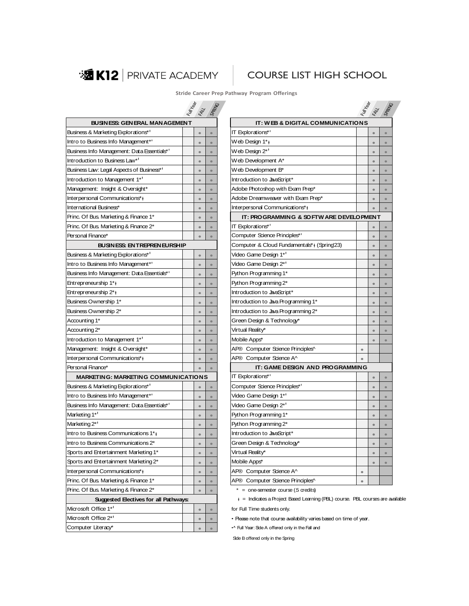

|                                                       |  |                                  | Full Year |                                                                    |  |  |  |
|-------------------------------------------------------|--|----------------------------------|-----------|--------------------------------------------------------------------|--|--|--|
| <b>BUSINESS: GENERAL MANAGEMENT</b>                   |  | IT: WEB & DIGITAL COMMUNICATIONS |           |                                                                    |  |  |  |
| Business & Marketing Explorations*1                   |  | $\bullet$                        | $\bullet$ | IT Explorations**                                                  |  |  |  |
| Intro to Business Info Management**                   |  | $\bullet$                        | $\bullet$ | Web Design 1*+                                                     |  |  |  |
| Business Info Management: Data Essentials**           |  | $\bullet$                        | $\bullet$ | Web Design 2 <sup>**</sup>                                         |  |  |  |
| Introduction to Business Law* <sup>+</sup>            |  | $\bullet$                        | $\bullet$ | Web Development A*                                                 |  |  |  |
| Business Law: Legal Aspects of Business* <sup>+</sup> |  | $\bullet$                        | $\bullet$ | Web Development B <sup>*</sup>                                     |  |  |  |
| Introduction to Management 1 <sup>**</sup>            |  | $\bullet$                        | $\bullet$ | Introduction to JavaScript*                                        |  |  |  |
| Management: Insight & Oversight*                      |  | $\bullet$                        | $\bullet$ | Adobe Photoshop with Exam Prep*                                    |  |  |  |
| Interpersonal Communications*+                        |  | $\bullet$                        | $\bullet$ | Adobe Dreamweaver with Exam Prep*                                  |  |  |  |
| International Business*                               |  | $\bullet$                        | $\bullet$ | Interpersonal Communications*+                                     |  |  |  |
| Princ. Of Bus. Marketing & Finance 1*                 |  | $\bullet$                        | $\bullet$ | IT: PROGRAMMING & SOFTWARE DEVELOPI                                |  |  |  |
| Princ. Of Bus. Marketing & Finance 2*                 |  | $\bullet$                        | $\bullet$ | IT Explorations**                                                  |  |  |  |
| Personal Finance*                                     |  | $\bullet$                        | $\bullet$ | Computer Science Principles*+                                      |  |  |  |
| <b>BUSINESS: ENTREPRENEURSHIP</b>                     |  |                                  |           | Computer & Cloud Fundamentals* + (Spring 23)                       |  |  |  |
| Business & Marketing Explorations* <sup>+</sup>       |  | $\bullet$                        | $\bullet$ | Video Game Design 1* <sup>†</sup>                                  |  |  |  |
| Intro to Business Info Management* <sup>*</sup>       |  | $\bullet$                        | $\bullet$ | Video Game Design 2*†                                              |  |  |  |
| Business Info Management: Data Essentials**           |  | $\bullet$                        | $\bullet$ | Python Programming 1*                                              |  |  |  |
| Entrepreneurship $1^*$ +                              |  | $\bullet$                        | $\bullet$ | Python Programming 2*                                              |  |  |  |
| Entrepreneurship $2^*$ +                              |  | $\bullet$                        | $\bullet$ | Introduction to JavaScript*                                        |  |  |  |
| Business Ownership 1*                                 |  | $\bullet$                        | $\bullet$ | Introduction to Java Programming 1*                                |  |  |  |
| Business Ownership 2*                                 |  | $\bullet$                        | $\bullet$ | Introduction to Java Programming 2*                                |  |  |  |
| Accounting 1*                                         |  | $\bullet$                        | $\bullet$ | Green Design & Technology*                                         |  |  |  |
| Accounting 2*                                         |  | $\bullet$                        | $\bullet$ | Virtual Reality*                                                   |  |  |  |
| Introduction to Management 1* <sup>+</sup>            |  | $\bullet$                        | $\bullet$ | Mobile Apps*                                                       |  |  |  |
| Management: Insight & Oversight*                      |  | $\bullet$                        | $\bullet$ | AP® Computer Science Principles^                                   |  |  |  |
| Interpersonal Communications*+                        |  | $\bullet$                        | $\bullet$ | AP® Computer Science A^                                            |  |  |  |
| Personal Finance*                                     |  |                                  | $\bullet$ | IT: GAME DESIGN AND PROGRAMMING                                    |  |  |  |
| <b>MARKETING: MARKETING COMMUNICATIONS</b>            |  |                                  |           | IT Explorations**                                                  |  |  |  |
| Business & Marketing Explorations*1                   |  | $\bullet$                        | $\bullet$ | Computer Science Principles**                                      |  |  |  |
| Intro to Business Info Management**                   |  | $\bullet$                        | $\bullet$ | Video Game Design 1 <sup>*†</sup>                                  |  |  |  |
| Business Info Management: Data Essentials**           |  | $\bullet$                        | $\bullet$ | Video Game Design 2*†                                              |  |  |  |
| Marketing 1 <sup>**</sup>                             |  | $\bullet$                        | $\bullet$ | Python Programming 1*                                              |  |  |  |
| Marketing 2 <sup>**</sup>                             |  | $\bullet$                        | $\bullet$ | Python Programming 2*                                              |  |  |  |
| Intro to Business Communications 1*+                  |  | $\bullet$                        | $\bullet$ | Introduction to JavaScript*                                        |  |  |  |
| Intro to Business Communications 2*                   |  | $\bullet$                        | $\bullet$ | Green Design & Technology*                                         |  |  |  |
| Sports and Entertainment Marketing 1*                 |  | $\bullet$                        | $\bullet$ | Virtual Reality*                                                   |  |  |  |
| Sports and Entertainment Marketing 2*                 |  | $\bullet$                        | $\bullet$ | Mobile Apps*                                                       |  |  |  |
| Interpersonal Communications*+                        |  | $\bullet$                        | $\bullet$ | AP® Computer Science A^<br>$\bullet$                               |  |  |  |
| Princ. Of Bus. Marketing & Finance 1*                 |  | $\bullet$                        | $\bullet$ | AP® Computer Science Principles^<br>$\bullet$                      |  |  |  |
| Princ. Of Bus. Marketing & Finance 2*                 |  | $\bullet$                        | $\bullet$ | $*$ = one-semester course (5 credits)                              |  |  |  |
| <b>Suggested Electives for all Pathways:</b>          |  |                                  |           | + = Indicates a Project Based Learning (PBL) course. PBL or        |  |  |  |
| Microsoft Office 1 <sup>*1</sup>                      |  | $\bullet$                        | $\bullet$ | for Full Time students only.                                       |  |  |  |
| Microsoft Office 2* <sup>+</sup>                      |  | $\bullet$                        | $\bullet$ | • Please note that course availability varies based on time of yea |  |  |  |
| Computer Literacy*                                    |  |                                  | $\bullet$ | .^ Full Year: Side A offered only in the Fall and                  |  |  |  |

| <b>ZEK12</b> PRIVATE ACADEMY                            |            |           | <b>COURSE LIST HIGH SCHOOL</b> |                                              |           |            |           |
|---------------------------------------------------------|------------|-----------|--------------------------------|----------------------------------------------|-----------|------------|-----------|
|                                                         |            |           |                                | Stride Career Prep Pathway Program Offerings |           |            |           |
|                                                         | Fully Year |           | FALL SPRING                    |                                              |           | Full y Ran |           |
| <b>BUSINESS: GENERAL MANAGEMENT</b>                     |            |           |                                | IT: WEB & DIGITAL COMMUNICATIONS             |           |            |           |
| Business & Marketing Explorations* <sup>†</sup>         |            |           | $\bullet$                      | IT Explorations* <sup>+</sup>                |           |            | $\bullet$ |
| Intro to Business Info Management*†                     |            | $\bullet$ | $\bullet$                      | Web Design 1*+                               |           | $\bullet$  | $\bullet$ |
| Business Info Management: Data Essentials*†             |            | $\bullet$ | $\bullet$                      | Web Design 2 <sup>*†</sup>                   |           |            | $\bullet$ |
| Introduction to Business Law* <sup>+</sup>              |            | $\bullet$ | $\bullet$                      | Web Development A*                           |           | $\bullet$  | $\bullet$ |
| Business Law: Legal Aspects of Business*†               |            | $\bullet$ | $\bullet$                      | Web Development B*                           |           |            | $\bullet$ |
| Introduction to Management 1**                          |            | $\bullet$ | $\bullet$                      | Introduction to JavaScript*                  |           | $\bullet$  | $\bullet$ |
| Management: Insight & Oversight*                        |            | $\bullet$ | $\bullet$                      | Adobe Photoshop with Exam Prep*              |           | $\bullet$  | $\bullet$ |
| Interpersonal Communications*+                          |            | $\bullet$ | $\bullet$                      | Adobe Dreamweaver with Exam Prep*            |           | $\bullet$  | $\bullet$ |
| International Business*                                 |            | $\bullet$ | $\bullet$                      | Interpersonal Communications*+               |           |            | $\bullet$ |
| Princ. Of Bus. Marketing & Finance 1*                   |            | $\bullet$ | $\bullet$                      | IT: PROGRAMMING & SOFTWARE DEVELOPMENT       |           |            |           |
| Princ. Of Bus. Marketing & Finance 2*                   |            | $\bullet$ | $\bullet$                      | IT Explorations* <sup>+</sup>                |           | $\bullet$  | $\bullet$ |
| Personal Finance*                                       |            | $\bullet$ | $\bullet$                      | Computer Science Principles*+                |           | $\bullet$  | $\bullet$ |
| <b>BUSINESS: ENTREPRENEURSHIP</b>                       |            |           |                                | Computer & Cloud Fundamentals*+ (Spring23)   |           | $\bullet$  | $\bullet$ |
| Business & Marketing Explorations*†                     |            | $\bullet$ | $\bullet$                      | Video Game Design 1*†                        |           | $\bullet$  | $\bullet$ |
| Intro to Business Info Management*†                     |            | $\bullet$ | $\bullet$                      | Video Game Design 2* <sup>+</sup>            |           | $\bullet$  | $\bullet$ |
| Business Info Management: Data Essentials* <sup>+</sup> |            | $\bullet$ | $\bullet$                      | Python Programming 1*                        |           | $\bullet$  | $\bullet$ |
| Entrepreneurship 1*+                                    |            | $\bullet$ | $\bullet$                      | Python Programming 2*                        |           | $\bullet$  | $\bullet$ |
| Entrepreneurship 2*+                                    |            | $\bullet$ | $\bullet$                      | Introduction to JavaScript*                  |           | $\bullet$  | $\bullet$ |
| Business Ownership 1*                                   |            | $\bullet$ | $\bullet$                      | Introduction to Java Programming 1*          |           | $\bullet$  | $\bullet$ |
| Business Ownership 2*                                   |            | $\bullet$ | $\bullet$                      | Introduction to Java Programming 2*          |           | $\bullet$  | $\bullet$ |
| Accounting 1*                                           |            | $\bullet$ | $\bullet$                      | Green Design & Technology*                   |           | $\bullet$  | $\bullet$ |
| Accounting 2*                                           |            | $\bullet$ | $\bullet$                      | Virtual Reality*                             |           |            | $\bullet$ |
| Introduction to Management 1* <sup>+</sup>              |            | $\bullet$ | $\bullet$                      | Mobile Apps*                                 |           |            | $\bullet$ |
| Management: Insight & Oversight*                        |            | $\bullet$ | $\bullet$                      | AP® Computer Science Principles^             |           |            |           |
| Interpersonal Communications*+                          |            | $\bullet$ | $\bullet$                      | AP® Computer Science A^                      |           |            |           |
| Personal Finance*                                       |            |           | $\bullet$                      | IT: GAME DESIGN AND PROGRAMMING              |           |            |           |
| <b>MARKETING: MARKETING COMMUNICATIONS</b>              |            |           |                                | IT Explorations* <sup>*</sup>                |           | $\bullet$  | $\bullet$ |
| Business & Marketing Explorations* <sup>†</sup>         |            | $\bullet$ | $\bullet$                      | Computer Science Principles* <sup>+</sup>    |           | $\bullet$  | $\bullet$ |
| Intro to Business Info Management* <sup>*</sup>         |            | $\bullet$ | $\bullet$                      | Video Game Design 1* <sup>+</sup>            |           | $\bullet$  | $\bullet$ |
| Business Info Management: Data Essentials*†             |            | $\bullet$ | $\bullet$                      | Video Game Design 2* <sup>+</sup>            |           | $\bullet$  | $\bullet$ |
| Marketing 1* <sup>†</sup>                               |            | $\bullet$ | $\bullet$                      | Python Programming 1*                        |           | $\bullet$  | $\bullet$ |
| Marketing 2*†                                           |            | $\bullet$ | $\bullet$                      | Python Programming 2*                        |           | $\bullet$  | $\bullet$ |
| Intro to Business Communications 1*+                    |            | $\bullet$ | $\bullet$                      | Introduction to JavaScript*                  |           | $\bullet$  | $\bullet$ |
| Intro to Business Communications 2*                     |            | $\bullet$ | $\bullet$                      | Green Design & Technology*                   |           | $\bullet$  | $\bullet$ |
| Sports and Entertainment Marketing 1*                   |            | $\bullet$ | $\bullet$                      | Virtual Reality*                             |           |            | $\bullet$ |
| Sports and Entertainment Marketing 2*                   |            | $\bullet$ | $\bullet$                      | Mobile Apps*                                 |           | $\bullet$  | $\bullet$ |
| Interpersonal Communications*+                          |            |           |                                | AP® Computer Science A^                      | $\bullet$ |            |           |
| Princ. Of Bus. Marketing & Finance 1*                   |            | $\bullet$ | $\bullet$                      | AP® Computer Science Principles^             |           |            |           |
|                                                         |            |           |                                |                                              |           |            |           |

Ɨ = Indicates a Project Based Learning (PBL) course. PBL courses are available

Side B offered only in the Spring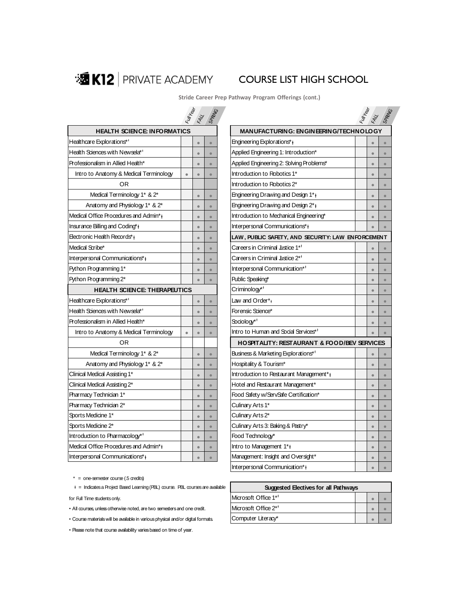# **SEXTE** PRIVATE ACADEMY COURSE LIST HIGH SCHOOL

**Stride Career Prep Pathway Program Offerings (cont.)**

|                                            |           | Full Year | SPAWC     |
|--------------------------------------------|-----------|-----------|-----------|
| <b>HEALTH SCIENCE: INFORMATICS</b>         |           |           |           |
| Healthcare Explorations* <sup>+</sup>      |           | $\bullet$ | $\bullet$ |
| Health Sciences with Newsela* <sup>+</sup> |           | $\bullet$ | $\bullet$ |
| Professionalism in Allied Health*          |           | ö         | ۵         |
| Intro to Anatomy & Medical Terminology     | $\bullet$ | ö         | ۵         |
| OR                                         |           |           |           |
| Medical Terminology 1* & 2*                |           | $\bullet$ | $\bullet$ |
| Anatomy and Physiology 1* & 2*             |           |           | ۵         |
| Medical Office Procedures and Admin*+      |           | ö         | ۵         |
| Insurance Billing and Coding*+             |           |           | ۵         |
| Electronic Health Records*+                |           | $\bullet$ | $\bullet$ |
| Medical Scribe*                            |           | $\bullet$ | ö         |
| Interpersonal Communications*+             |           | $\bullet$ | ö         |
| Python Programming 1*                      |           | $\bullet$ | ö         |
| Python Programming 2*                      |           | $\bullet$ | $\bullet$ |
| <b>HEALTH SCIENCE: THERAPEUTICS</b>        |           |           |           |
| Healthcare Explorations* <sup>*</sup>      |           | $\bullet$ | ۵         |
| Health Sciences with Newsela* <sup>+</sup> |           | $\bullet$ | ٥         |
| Professionalism in Allied Health*          |           | $\bullet$ | $\bullet$ |
| Intro to Anatomy & Medical Terminology     | $\bullet$ | $\bullet$ | $\bullet$ |
| ΟR                                         |           |           |           |
| Medical Terminology 1* & 2*                |           | ö         | ö         |
| Anatomy and Physiology 1* & 2*             |           | $\bullet$ | $\bullet$ |
| Clinical Medical Assisting 1*              |           | $\bullet$ | $\bullet$ |
| Clinical Medical Assisting 2*              |           | $\bullet$ | ٥         |
| Pharmacy Technician 1*                     |           | ٠         | ۵         |
| Pharmacy Technician 2*                     |           | ö         | ۵         |
| Sports Medicine 1*                         |           | $\bullet$ | ٥         |
| Sports Medicine 2*                         |           | $\bullet$ | $\bullet$ |
| Introduction to Pharmacology* <sup>+</sup> |           | $\bullet$ | $\bullet$ |
| Medical Office Procedures and Admin*+      |           | $\bullet$ | ٥         |
| Interpersonal Communications*+             |           | ٠         | ۰         |

|                                        |           |                | Full Hay  |                                                        | Full Year<br>IFALL | <b>SPANS</b> |
|----------------------------------------|-----------|----------------|-----------|--------------------------------------------------------|--------------------|--------------|
| <b>HEALTH SCIENCE: INFORMATICS</b>     |           |                |           | <b>MAN UFACTURING: ENGINEERING/TECHNOLOGY</b>          |                    |              |
| Healthcare Explorations**              |           | $\bullet$      | $\bullet$ | Engineering Explorations*+                             | $\bullet$          | ۰            |
| Health Sciences with Newsela*†         |           | $\bullet$      | $\bullet$ | Applied Engineering 1: Introduction*                   | $\bullet$          | $\bullet$    |
| Professionalism in Allied Health*      |           | $\bullet$      | $\bullet$ | Applied Engineering 2: Solving Problems*               | $\bullet$          | $\bullet$    |
| Intro to Anatomy & Medical Terminology | $\bullet$ | $\bullet$      | $\bullet$ | Introduction to Robotics 1*                            | $\bullet$          | $\bullet$    |
| OR                                     |           |                |           | Introduction to Robotics 2*                            | $\bullet$          | $\bullet$    |
| Medical Terminology 1* & 2*            |           | $\bullet$      | $\bullet$ | Engineering Drawing and Design 1*+                     | $\bullet$          | $\bullet$    |
| Anatomy and Physiology 1* & 2*         |           | $\bullet$      | $\bullet$ | Engineering Drawing and Design 2*+                     | $\bullet$          | $\bullet$    |
| Medical Office Procedures and Admin*+  |           | $\bullet$      | $\bullet$ | Introduction to Mechanical Engineering*                | $\bullet$          | $\bullet$    |
| Insurance Billing and Coding*+         |           | $\bullet$      | $\bullet$ | Interpersonal Communications*+                         |                    | $\bullet$    |
| Electronic Health Records*+            |           | $\bullet$      | $\bullet$ | LAW, PUBLIC SAFETY, AND SECURITY: LAW ENFORCEMENT      |                    |              |
| Medical Scribe*                        |           | $\bullet$      | $\bullet$ | Careers in Criminal Justice 1* <sup>+</sup>            | ö                  | $\bullet$    |
| Interpersonal Communications*+         |           | $\bullet$      | $\bullet$ | Careers in Criminal Justice 2* <sup>+</sup>            | $\bullet$          | $\bullet$    |
| Python Programming 1*                  |           | $\bullet$      | $\bullet$ | Interpersonal Communication* <sup>+</sup>              | $\bullet$          | $\bullet$    |
| Python Programming 2*                  |           | $\blacksquare$ | $\bullet$ | Public Speaking*                                       | $\bullet$          | $\bullet$    |
| <b>HEALTH SCIENCE: THERAPEUTICS</b>    |           |                |           | Criminology* <sup>+</sup>                              | $\bullet$          | $\bullet$    |
| Healthcare Explorations**              |           | $\bullet$      | $\bullet$ | Law and Order* <sub>t</sub>                            | $\bullet$          | $\bullet$    |
| Health Sciences with Newsela**         |           | $\bullet$      | $\bullet$ | Forensic Science*                                      | $\bullet$          | $\bullet$    |
| Professionalism in Allied Health*      |           | $\bullet$      | $\bullet$ | Sociology* <sup>+</sup>                                | $\bullet$          | $\bullet$    |
| Intro to Anatomy & Medical Terminology | $\bullet$ | $\bullet$      | $\bullet$ | Intro to Human and Social Services* <sup>+</sup>       |                    |              |
| OR                                     |           |                |           | <b>HOSPITALITY: RESTAURANT &amp; FOOD/BEV SERVICES</b> |                    |              |
| Medical Terminology 1* & 2*            |           | $\bullet$      | $\bullet$ | Business & Marketing Explorations* <sup>+</sup>        | $\bullet$          | $\bullet$    |
| Anatomy and Physiology 1* & 2*         |           | $\bullet$      | $\bullet$ | Hospitality & Tourism*                                 | $\bullet$          | $\bullet$    |
| Clinical Medical Assisting 1*          |           | $\bullet$      | $\bullet$ | Introduction to Restaurant Management*+                | $\bullet$          | $\bullet$    |
| Clinical Medical Assisting 2*          |           | $\bullet$      | $\bullet$ | Hotel and Restaurant Management*                       | $\bullet$          | $\bullet$    |
| Pharmacy Technician 1*                 |           | $\bullet$      | $\bullet$ | Food Safety w/ServSafe Certification*                  | $\bullet$          | $\bullet$    |
| Pharmacy Technician 2*                 |           | $\bullet$      | $\bullet$ | Culinary Arts 1*                                       | $\bullet$          | $\bullet$    |
| Sports Medicine 1*                     |           | $\bullet$      | $\bullet$ | Culinary Arts 2*                                       | $\bullet$          | $\bullet$    |
| Sports Medicine 2*                     |           | $\bullet$      | $\bullet$ | Culinary Arts 3: Baking & Pastry*                      | $\bullet$          | $\bullet$    |
| Introduction to Pharmacology*†         |           | $\bullet$      | $\bullet$ | Food Technology*                                       | $\bullet$          | $\bullet$    |
| Medical Office Procedures and Admin*+  |           | $\bullet$      | $\bullet$ | Intro to Management 1*+                                | $\bullet$          | $\bullet$    |
| Interpersonal Communications*+         |           | $\bullet$      | $\bullet$ | Management: Insight and Oversight*                     | $\bullet$          | $\bullet$    |
|                                        |           |                |           | Interpersonal Communication*+                          | $\bullet$          | $\bullet$    |
|                                        |           |                |           |                                                        |                    |              |

 $* =$  one-semester course (.5 credits)

+ = Indicates a Project Based Learning (PBL) course. PBL courses are available for Full Time students only.  $\blacksquare$  Microsoft Office 1<sup>\*\*</sup>

• Course materials will be available in various physical and/or digital formats. Computer Literacy\*

• Please note that course availability varies based on time of year.

• All courses, unless otherwise noted, are two semesters and one credit.  $\blacksquare$  Microsoft Office  $2^{*+}$ **Suggested Electives for all Pathways**